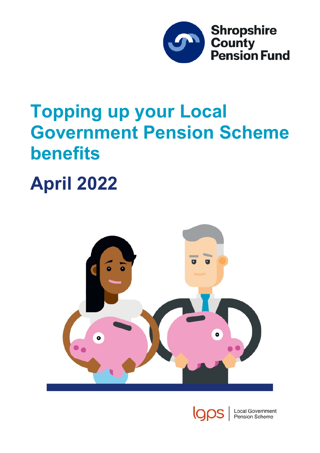

# **Topping up your Local Government Pension Scheme benefits**

# **April 2022**





**Local Government** Pension Scheme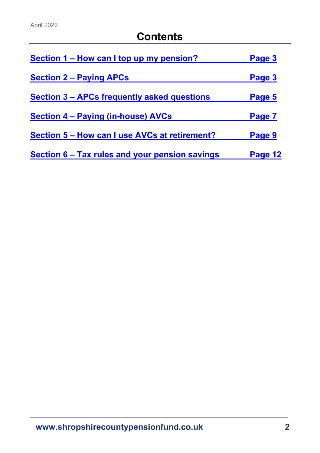| Section 1 – How can I top up my pension?       | Page 3  |
|------------------------------------------------|---------|
| <b>Section 2 - Paying APCs</b>                 | Page 3  |
| Section 3 – APCs frequently asked questions    | Page 5  |
| Section 4 – Paying (in-house) AVCs             | Page 7  |
| Section 5 – How can I use AVCs at retirement?  | Page 9  |
| Section 6 – Tax rules and your pension savings | Page 12 |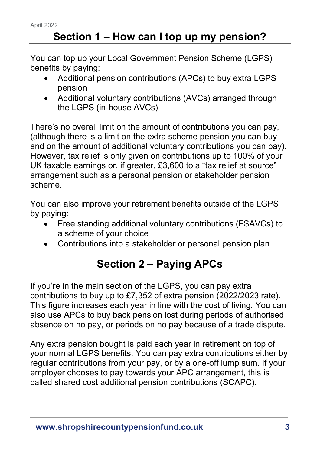# **Section 1 – How can I top up my pension?**

<span id="page-2-0"></span>You can top up your Local Government Pension Scheme (LGPS) benefits by paying:

- Additional pension contributions (APCs) to buy extra LGPS pension
- Additional voluntary contributions (AVCs) arranged through the LGPS (in-house AVCs)

There's no overall limit on the amount of contributions you can pay, (although there is a limit on the extra scheme pension you can buy and on the amount of additional voluntary contributions you can pay). However, tax relief is only given on contributions up to 100% of your UK taxable earnings or, if greater, £3,600 to a "tax relief at source" arrangement such as a personal pension or stakeholder pension scheme.

You can also improve your retirement benefits outside of the LGPS by paying:

- Free standing additional voluntary contributions (FSAVCs) to a scheme of your choice
- Contributions into a stakeholder or personal pension plan

# **Section 2 – Paying APCs**

<span id="page-2-1"></span>If you're in the main section of the LGPS, you can pay extra contributions to buy up to £7,352 of extra pension (2022/2023 rate). This figure increases each year in line with the cost of living. You can also use APCs to buy back pension lost during periods of authorised absence on no pay, or periods on no pay because of a trade dispute.

Any extra pension bought is paid each year in retirement on top of your normal LGPS benefits. You can pay extra contributions either by regular contributions from your pay, or by a one-off lump sum. If your employer chooses to pay towards your APC arrangement, this is called shared cost additional pension contributions (SCAPC).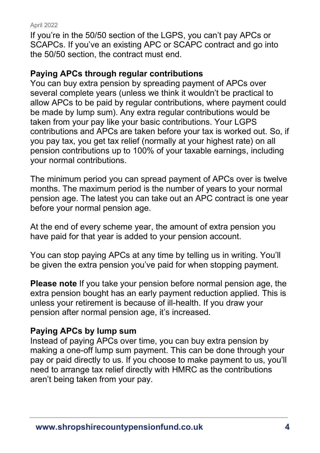If you're in the 50/50 section of the LGPS, you can't pay APCs or SCAPCs. If you've an existing APC or SCAPC contract and go into the 50/50 section, the contract must end.

### **Paying APCs through regular contributions**

You can buy extra pension by spreading payment of APCs over several complete years (unless we think it wouldn't be practical to allow APCs to be paid by regular contributions, where payment could be made by lump sum). Any extra regular contributions would be taken from your pay like your basic contributions. Your LGPS contributions and APCs are taken before your tax is worked out. So, if you pay tax, you get tax relief (normally at your highest rate) on all pension contributions up to 100% of your taxable earnings, including your normal contributions.

The minimum period you can spread payment of APCs over is twelve months. The maximum period is the number of years to your normal pension age. The latest you can take out an APC contract is one year before your normal pension age.

At the end of every scheme year, the amount of extra pension you have paid for that year is added to your pension account.

You can stop paying APCs at any time by telling us in writing. You'll be given the extra pension you've paid for when stopping payment.

**Please note** If you take your pension before normal pension age, the extra pension bought has an early payment reduction applied. This is unless your retirement is because of ill-health. If you draw your pension after normal pension age, it's increased.

### **Paying APCs by lump sum**

Instead of paying APCs over time, you can buy extra pension by making a one-off lump sum payment. This can be done through your pay or paid directly to us. If you choose to make payment to us, you'll need to arrange tax relief directly with HMRC as the contributions aren't being taken from your pay.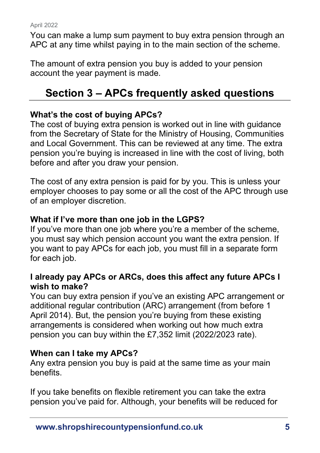You can make a lump sum payment to buy extra pension through an APC at any time whilst paying in to the main section of the scheme.

<span id="page-4-0"></span>The amount of extra pension you buy is added to your pension account the year payment is made.

# **Section 3 – APCs frequently asked questions**

### **What's the cost of buying APCs?**

The cost of buying extra pension is worked out in line with guidance from the Secretary of State for the Ministry of Housing, Communities and Local Government. This can be reviewed at any time. The extra pension you're buying is increased in line with the cost of living, both before and after you draw your pension.

The cost of any extra pension is paid for by you. This is unless your employer chooses to pay some or all the cost of the APC through use of an employer discretion.

### **What if I've more than one job in the LGPS?**

If you've more than one job where you're a member of the scheme, you must say which pension account you want the extra pension. If you want to pay APCs for each job, you must fill in a separate form for each job.

### **I already pay APCs or ARCs, does this affect any future APCs I wish to make?**

You can buy extra pension if you've an existing APC arrangement or additional regular contribution (ARC) arrangement (from before 1 April 2014). But, the pension you're buying from these existing arrangements is considered when working out how much extra pension you can buy within the £7,352 limit (2022/2023 rate).

### **When can I take my APCs?**

Any extra pension you buy is paid at the same time as your main benefits.

If you take benefits on flexible retirement you can take the extra pension you've paid for. Although, your benefits will be reduced for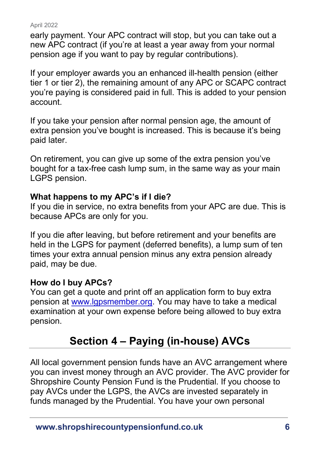early payment. Your APC contract will stop, but you can take out a new APC contract (if you're at least a year away from your normal pension age if you want to pay by regular contributions).

If your employer awards you an enhanced ill-health pension (either tier 1 or tier 2), the remaining amount of any APC or SCAPC contract you're paying is considered paid in full. This is added to your pension account.

If you take your pension after normal pension age, the amount of extra pension you've bought is increased. This is because it's being paid later.

On retirement, you can give up some of the extra pension you've bought for a tax-free cash lump sum, in the same way as your main LGPS pension.

### **What happens to my APC's if I die?**

If you die in service, no extra benefits from your APC are due. This is because APCs are only for you.

If you die after leaving, but before retirement and your benefits are held in the LGPS for payment (deferred benefits), a lump sum of ten times your extra annual pension minus any extra pension already paid, may be due.

### **How do I buy APCs?**

You can get a quote and print off an application form to buy extra pension at [www.lgpsmember.org.](http://www.lgpsmember.org/) You may have to take a medical examination at your own expense before being allowed to buy extra pension.

# **Section 4 – Paying (in-house) AVCs**

<span id="page-5-0"></span>All local government pension funds have an AVC arrangement where you can invest money through an AVC provider. The AVC provider for Shropshire County Pension Fund is the Prudential. If you choose to pay AVCs under the LGPS, the AVCs are invested separately in funds managed by the Prudential. You have your own personal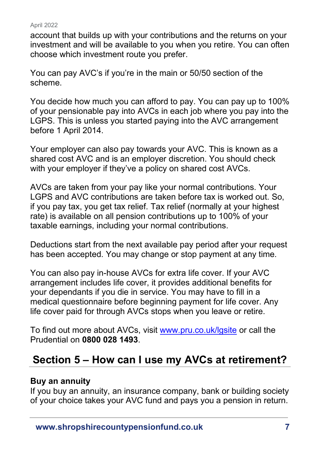account that builds up with your contributions and the returns on your investment and will be available to you when you retire. You can often choose which investment route you prefer.

You can pay AVC's if you're in the main or 50/50 section of the scheme.

You decide how much you can afford to pay. You can pay up to 100% of your pensionable pay into AVCs in each job where you pay into the LGPS. This is unless you started paying into the AVC arrangement before 1 April 2014.

Your employer can also pay towards your AVC. This is known as a shared cost AVC and is an employer discretion. You should check with your employer if they've a policy on shared cost AVCs.

AVCs are taken from your pay like your normal contributions. Your LGPS and AVC contributions are taken before tax is worked out. So, if you pay tax, you get tax relief. Tax relief (normally at your highest rate) is available on all pension contributions up to 100% of your taxable earnings, including your normal contributions.

Deductions start from the next available pay period after your request has been accepted. You may change or stop payment at any time.

You can also pay in-house AVCs for extra life cover. If your AVC arrangement includes life cover, it provides additional benefits for your dependants if you die in service. You may have to fill in a medical questionnaire before beginning payment for life cover. Any life cover paid for through AVCs stops when you leave or retire.

To find out more about AVCs, visit [www.pru.co.uk/lgsite](http://www.pru.co.uk/lgsite) or call the Prudential on **0800 028 1493**.

# <span id="page-6-0"></span>**Section 5 – How can I use my AVCs at retirement?**

### **Buy an annuity**

If you buy an annuity, an insurance company, bank or building society of your choice takes your AVC fund and pays you a pension in return.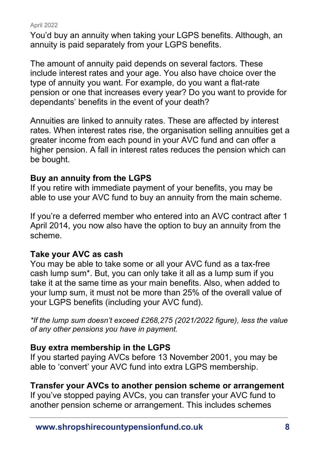You'd buy an annuity when taking your LGPS benefits. Although, an annuity is paid separately from your LGPS benefits.

The amount of annuity paid depends on several factors. These include interest rates and your age. You also have choice over the type of annuity you want. For example, do you want a flat-rate pension or one that increases every year? Do you want to provide for dependants' benefits in the event of your death?

Annuities are linked to annuity rates. These are affected by interest rates. When interest rates rise, the organisation selling annuities get a greater income from each pound in your AVC fund and can offer a higher pension. A fall in interest rates reduces the pension which can be bought.

### **Buy an annuity from the LGPS**

If you retire with immediate payment of your benefits, you may be able to use your AVC fund to buy an annuity from the main scheme.

If you're a deferred member who entered into an AVC contract after 1 April 2014, you now also have the option to buy an annuity from the scheme.

### **Take your AVC as cash**

You may be able to take some or all your AVC fund as a tax-free cash lump sum\*. But, you can only take it all as a lump sum if you take it at the same time as your main benefits. Also, when added to your lump sum, it must not be more than 25% of the overall value of your LGPS benefits (including your AVC fund).

*\*If the lump sum doesn't exceed £268,275 (2021/2022 figure), less the value of any other pensions you have in payment.* 

### **Buy extra membership in the LGPS**

If you started paying AVCs before 13 November 2001, you may be able to 'convert' your AVC fund into extra LGPS membership.

### **Transfer your AVCs to another pension scheme or arrangement**

If you've stopped paying AVCs, you can transfer your AVC fund to another pension scheme or arrangement. This includes schemes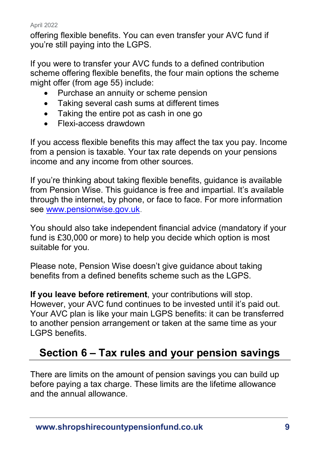offering flexible benefits. You can even transfer your AVC fund if you're still paying into the LGPS.

If you were to transfer your AVC funds to a defined contribution scheme offering flexible benefits, the four main options the scheme might offer (from age 55) include:

- Purchase an annuity or scheme pension
- Taking several cash sums at different times
- Taking the entire pot as cash in one go
- Flexi-access drawdown

If you access flexible benefits this may affect the tax you pay. Income from a pension is taxable. Your tax rate depends on your pensions income and any income from other sources.

If you're thinking about taking flexible benefits, guidance is available from Pension Wise. This guidance is free and impartial. It's available through the internet, by phone, or face to face. For more information see [www.pensionwise.gov.uk.](http://www.pensionwise.gov.uk/)

You should also take independent financial advice (mandatory if your fund is £30,000 or more) to help you decide which option is most suitable for you.

Please note, Pension Wise doesn't give guidance about taking benefits from a defined benefits scheme such as the LGPS.

**If you leave before retirement**, your contributions will stop. However, your AVC fund continues to be invested until it's paid out. Your AVC plan is like your main LGPS benefits: it can be transferred to another pension arrangement or taken at the same time as your LGPS benefits.

# <span id="page-8-0"></span>**Section 6 – Tax rules and your pension savings**

There are limits on the amount of pension savings you can build up before paying a tax charge. These limits are the lifetime allowance and the annual allowance.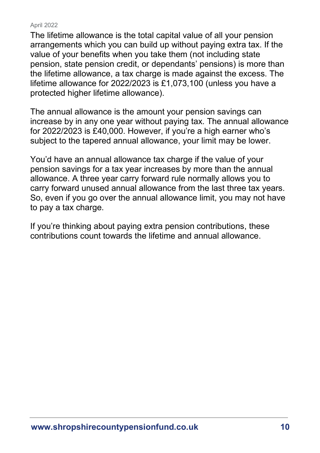The lifetime allowance is the total capital value of all your pension arrangements which you can build up without paying extra tax. If the value of your benefits when you take them (not including state pension, state pension credit, or dependants' pensions) is more than the lifetime allowance, a tax charge is made against the excess. The lifetime allowance for 2022/2023 is £1,073,100 (unless you have a protected higher lifetime allowance).

The annual allowance is the amount your pension savings can increase by in any one year without paying tax. The annual allowance for 2022/2023 is £40,000. However, if you're a high earner who's subject to the tapered annual allowance, your limit may be lower.

You'd have an annual allowance tax charge if the value of your pension savings for a tax year increases by more than the annual allowance. A three year carry forward rule normally allows you to carry forward unused annual allowance from the last three tax years. So, even if you go over the annual allowance limit, you may not have to pay a tax charge.

If you're thinking about paying extra pension contributions, these contributions count towards the lifetime and annual allowance.